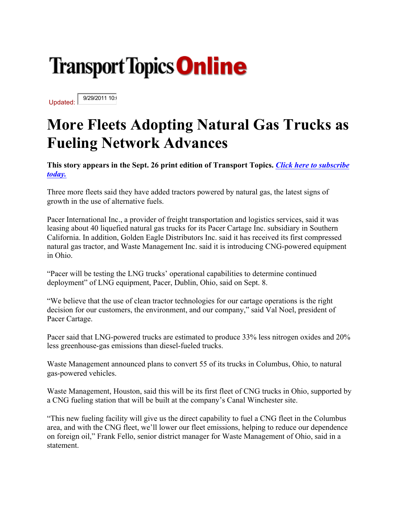## **Transport Topics Online**

Updated: 9/29/2011 10:

## **More Fleets Adopting Natural Gas Trucks as Fueling Network Advances**

**This story appears in the Sept. 26 print edition of Transport Topics.** *Click here to subscribe today.*

Three more fleets said they have added tractors powered by natural gas, the latest signs of growth in the use of alternative fuels.

Pacer International Inc., a provider of freight transportation and logistics services, said it was leasing about 40 liquefied natural gas trucks for its Pacer Cartage Inc. subsidiary in Southern California. In addition, Golden Eagle Distributors Inc. said it has received its first compressed natural gas tractor, and Waste Management Inc. said it is introducing CNG-powered equipment in Ohio.

"Pacer will be testing the LNG trucks' operational capabilities to determine continued deployment" of LNG equipment, Pacer, Dublin, Ohio, said on Sept. 8.

"We believe that the use of clean tractor technologies for our cartage operations is the right decision for our customers, the environment, and our company," said Val Noel, president of Pacer Cartage.

Pacer said that LNG-powered trucks are estimated to produce 33% less nitrogen oxides and 20% less greenhouse-gas emissions than diesel-fueled trucks.

Waste Management announced plans to convert 55 of its trucks in Columbus, Ohio, to natural gas-powered vehicles.

Waste Management, Houston, said this will be its first fleet of CNG trucks in Ohio, supported by a CNG fueling station that will be built at the company's Canal Winchester site.

"This new fueling facility will give us the direct capability to fuel a CNG fleet in the Columbus area, and with the CNG fleet, we'll lower our fleet emissions, helping to reduce our dependence on foreign oil," Frank Fello, senior district manager for Waste Management of Ohio, said in a statement.